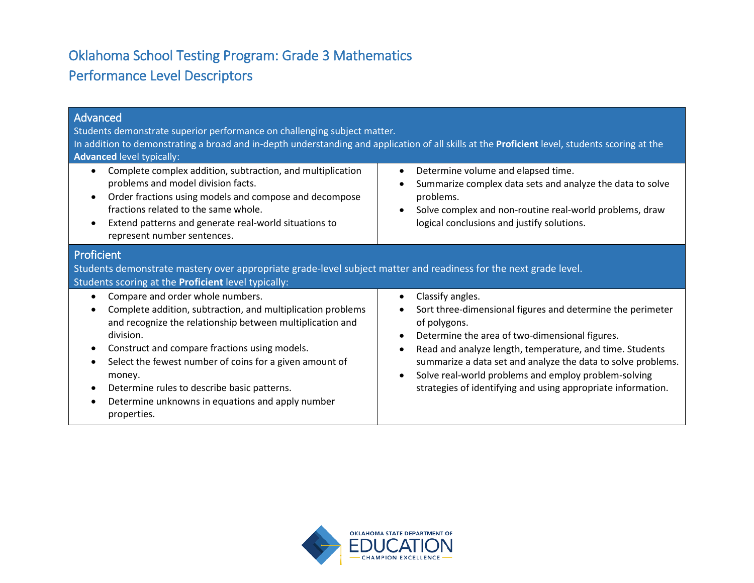# Oklahoma School Testing Program: Grade 3 Mathematics Performance Level Descriptors

| Advanced<br>Students demonstrate superior performance on challenging subject matter.<br>In addition to demonstrating a broad and in-depth understanding and application of all skills at the Proficient level, students scoring at the<br><b>Advanced level typically:</b>                                                                                                                                                                  |                                                                                                                                                                                                                                                                                                                                                                                                                                                                       |  |
|---------------------------------------------------------------------------------------------------------------------------------------------------------------------------------------------------------------------------------------------------------------------------------------------------------------------------------------------------------------------------------------------------------------------------------------------|-----------------------------------------------------------------------------------------------------------------------------------------------------------------------------------------------------------------------------------------------------------------------------------------------------------------------------------------------------------------------------------------------------------------------------------------------------------------------|--|
| Complete complex addition, subtraction, and multiplication<br>$\bullet$<br>problems and model division facts.<br>Order fractions using models and compose and decompose<br>$\bullet$<br>fractions related to the same whole.<br>Extend patterns and generate real-world situations to<br>$\bullet$<br>represent number sentences.                                                                                                           | Determine volume and elapsed time.<br>$\bullet$<br>Summarize complex data sets and analyze the data to solve<br>$\bullet$<br>problems.<br>Solve complex and non-routine real-world problems, draw<br>$\bullet$<br>logical conclusions and justify solutions.                                                                                                                                                                                                          |  |
| Proficient<br>Students demonstrate mastery over appropriate grade-level subject matter and readiness for the next grade level.<br>Students scoring at the Proficient level typically:                                                                                                                                                                                                                                                       |                                                                                                                                                                                                                                                                                                                                                                                                                                                                       |  |
| Compare and order whole numbers.<br>$\bullet$<br>Complete addition, subtraction, and multiplication problems<br>and recognize the relationship between multiplication and<br>division.<br>Construct and compare fractions using models.<br>Select the fewest number of coins for a given amount of<br>money.<br>Determine rules to describe basic patterns.<br>$\bullet$<br>Determine unknowns in equations and apply number<br>properties. | Classify angles.<br>$\bullet$<br>Sort three-dimensional figures and determine the perimeter<br>$\bullet$<br>of polygons.<br>Determine the area of two-dimensional figures.<br>$\bullet$<br>Read and analyze length, temperature, and time. Students<br>$\bullet$<br>summarize a data set and analyze the data to solve problems.<br>Solve real-world problems and employ problem-solving<br>$\bullet$<br>strategies of identifying and using appropriate information. |  |

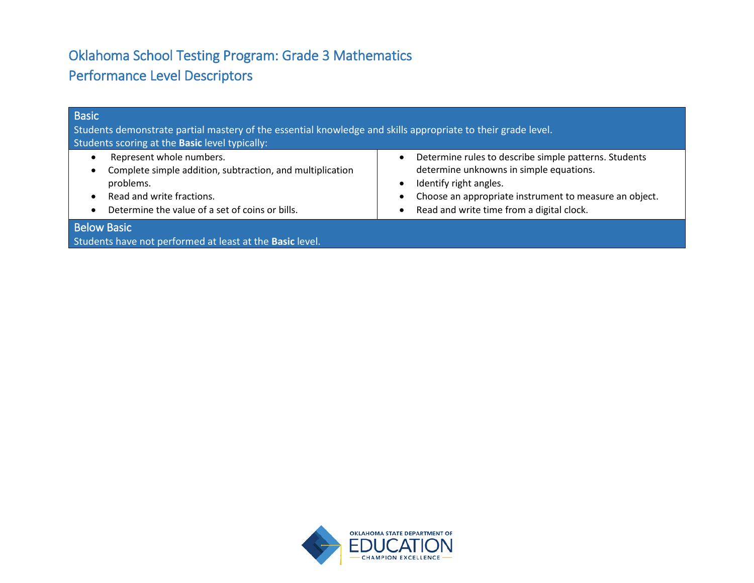# Oklahoma School Testing Program: Grade 3 Mathematics Performance Level Descriptors

| <b>Basic</b><br>Students demonstrate partial mastery of the essential knowledge and skills appropriate to their grade level.<br>Students scoring at the Basic level typically:     |                                                                                                                                                                                                                                   |
|------------------------------------------------------------------------------------------------------------------------------------------------------------------------------------|-----------------------------------------------------------------------------------------------------------------------------------------------------------------------------------------------------------------------------------|
| Represent whole numbers.<br>Complete simple addition, subtraction, and multiplication<br>problems.<br>Read and write fractions.<br>Determine the value of a set of coins or bills. | Determine rules to describe simple patterns. Students<br>determine unknowns in simple equations.<br>Identify right angles.<br>Choose an appropriate instrument to measure an object.<br>Read and write time from a digital clock. |
| <b>Below Basic</b><br>Students have not performed at least at the Basic level.                                                                                                     |                                                                                                                                                                                                                                   |

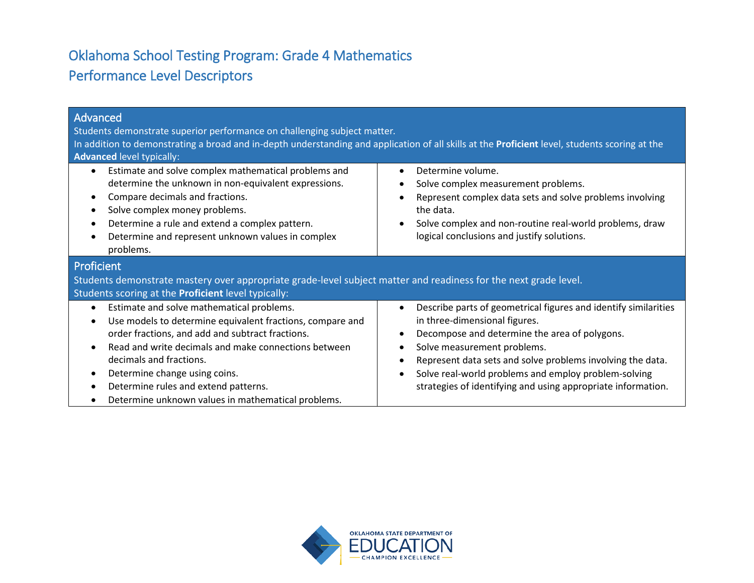# Oklahoma School Testing Program: Grade 4 Mathematics Performance Level Descriptors

| Advanced<br>Students demonstrate superior performance on challenging subject matter.<br>In addition to demonstrating a broad and in-depth understanding and application of all skills at the Proficient level, students scoring at the<br>Advanced level typically:                                                                                                                       |                                                                                                                                                                                                                                                                                                                                                                                                                                         |  |
|-------------------------------------------------------------------------------------------------------------------------------------------------------------------------------------------------------------------------------------------------------------------------------------------------------------------------------------------------------------------------------------------|-----------------------------------------------------------------------------------------------------------------------------------------------------------------------------------------------------------------------------------------------------------------------------------------------------------------------------------------------------------------------------------------------------------------------------------------|--|
| Estimate and solve complex mathematical problems and<br>determine the unknown in non-equivalent expressions.<br>Compare decimals and fractions.<br>Solve complex money problems.<br>Determine a rule and extend a complex pattern.<br>Determine and represent unknown values in complex<br>problems.                                                                                      | Determine volume.<br>$\bullet$<br>Solve complex measurement problems.<br>$\bullet$<br>Represent complex data sets and solve problems involving<br>$\bullet$<br>the data.<br>Solve complex and non-routine real-world problems, draw<br>$\bullet$<br>logical conclusions and justify solutions.                                                                                                                                          |  |
| Proficient<br>Students demonstrate mastery over appropriate grade-level subject matter and readiness for the next grade level.<br>Students scoring at the Proficient level typically:                                                                                                                                                                                                     |                                                                                                                                                                                                                                                                                                                                                                                                                                         |  |
| Estimate and solve mathematical problems.<br>$\bullet$<br>Use models to determine equivalent fractions, compare and<br>order fractions, and add and subtract fractions.<br>Read and write decimals and make connections between<br>decimals and fractions.<br>Determine change using coins.<br>Determine rules and extend patterns.<br>Determine unknown values in mathematical problems. | Describe parts of geometrical figures and identify similarities<br>$\bullet$<br>in three-dimensional figures.<br>Decompose and determine the area of polygons.<br>$\bullet$<br>Solve measurement problems.<br>$\bullet$<br>Represent data sets and solve problems involving the data.<br>$\bullet$<br>Solve real-world problems and employ problem-solving<br>$\bullet$<br>strategies of identifying and using appropriate information. |  |

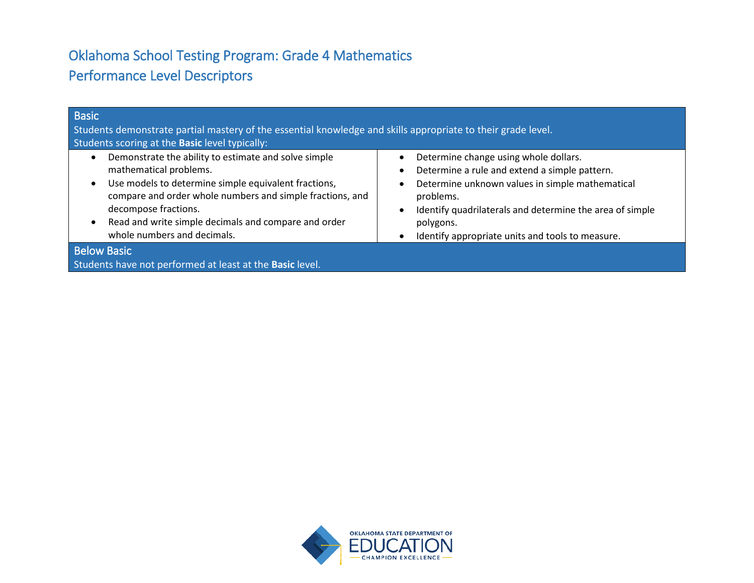# Oklahoma School Testing Program: Grade 4 Mathematics Performance Level Descriptors

| <b>Basic</b><br>Students demonstrate partial mastery of the essential knowledge and skills appropriate to their grade level.<br>Students scoring at the Basic level typically:                                                                                                                                     |                                                                                                                                                                                                                                                                                                  |
|--------------------------------------------------------------------------------------------------------------------------------------------------------------------------------------------------------------------------------------------------------------------------------------------------------------------|--------------------------------------------------------------------------------------------------------------------------------------------------------------------------------------------------------------------------------------------------------------------------------------------------|
| Demonstrate the ability to estimate and solve simple<br>mathematical problems.<br>Use models to determine simple equivalent fractions,<br>compare and order whole numbers and simple fractions, and<br>decompose fractions.<br>Read and write simple decimals and compare and order<br>whole numbers and decimals. | Determine change using whole dollars.<br>Determine a rule and extend a simple pattern.<br>Determine unknown values in simple mathematical<br>problems.<br>Identify quadrilaterals and determine the area of simple<br>polygons.<br>Identify appropriate units and tools to measure.<br>$\bullet$ |
| <b>Below Basic</b><br>Students have not performed at least at the Basic level.                                                                                                                                                                                                                                     |                                                                                                                                                                                                                                                                                                  |

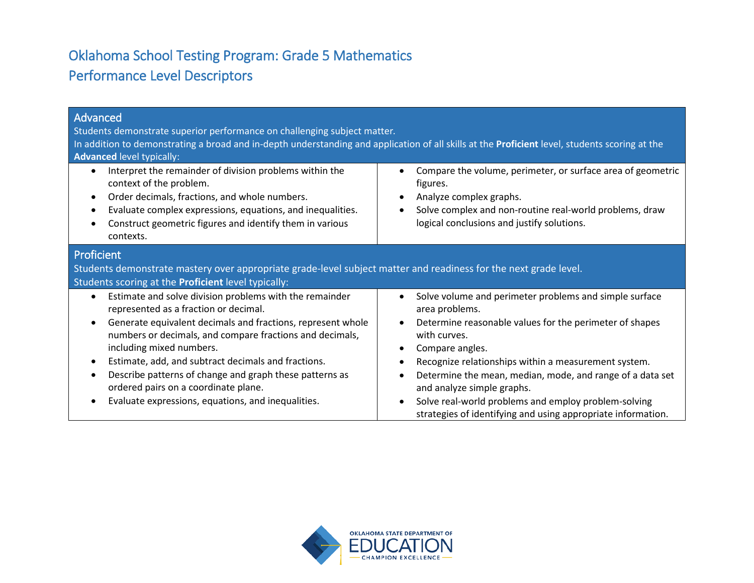# Oklahoma School Testing Program: Grade 5 Mathematics Performance Level Descriptors

| Advanced<br>Students demonstrate superior performance on challenging subject matter.<br>In addition to demonstrating a broad and in-depth understanding and application of all skills at the <b>Proficient</b> level, students scoring at the<br><b>Advanced level typically:</b>                                                                                                                                                                                                                              |                                                                                                                                                                                                                                                                                                                                                                                                                                                   |  |
|----------------------------------------------------------------------------------------------------------------------------------------------------------------------------------------------------------------------------------------------------------------------------------------------------------------------------------------------------------------------------------------------------------------------------------------------------------------------------------------------------------------|---------------------------------------------------------------------------------------------------------------------------------------------------------------------------------------------------------------------------------------------------------------------------------------------------------------------------------------------------------------------------------------------------------------------------------------------------|--|
| Interpret the remainder of division problems within the<br>$\bullet$<br>context of the problem.<br>Order decimals, fractions, and whole numbers.<br>$\bullet$<br>Evaluate complex expressions, equations, and inequalities.<br>Construct geometric figures and identify them in various<br>contexts.                                                                                                                                                                                                           | Compare the volume, perimeter, or surface area of geometric<br>figures.<br>Analyze complex graphs.<br>Solve complex and non-routine real-world problems, draw<br>logical conclusions and justify solutions.                                                                                                                                                                                                                                       |  |
| Proficient<br>Students demonstrate mastery over appropriate grade-level subject matter and readiness for the next grade level.<br>Students scoring at the <b>Proficient</b> level typically:                                                                                                                                                                                                                                                                                                                   |                                                                                                                                                                                                                                                                                                                                                                                                                                                   |  |
| Estimate and solve division problems with the remainder<br>$\bullet$<br>represented as a fraction or decimal.<br>Generate equivalent decimals and fractions, represent whole<br>$\bullet$<br>numbers or decimals, and compare fractions and decimals,<br>including mixed numbers.<br>Estimate, add, and subtract decimals and fractions.<br>$\bullet$<br>Describe patterns of change and graph these patterns as<br>ordered pairs on a coordinate plane.<br>Evaluate expressions, equations, and inequalities. | Solve volume and perimeter problems and simple surface<br>area problems.<br>Determine reasonable values for the perimeter of shapes<br>with curves.<br>Compare angles.<br>Recognize relationships within a measurement system.<br>Determine the mean, median, mode, and range of a data set<br>and analyze simple graphs.<br>Solve real-world problems and employ problem-solving<br>strategies of identifying and using appropriate information. |  |

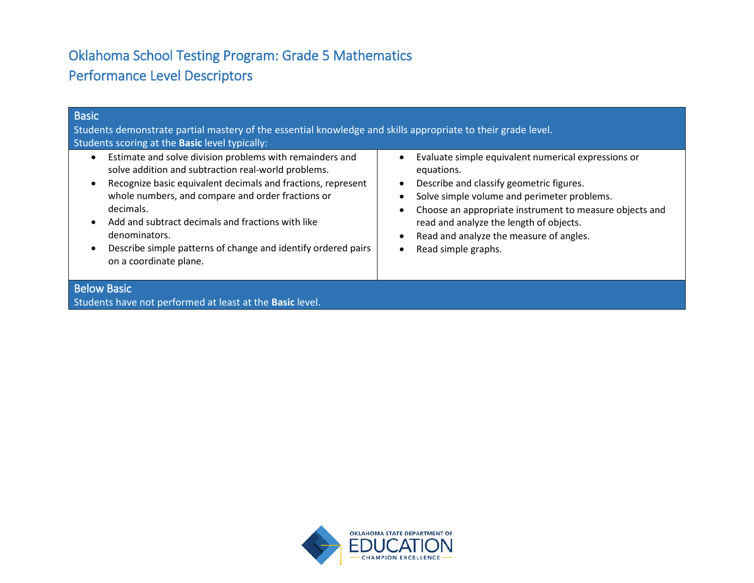# Oklahoma School Testing Program: Grade 5 Mathematics Performance Level Descriptors

| <b>Basic</b><br>Students demonstrate partial mastery of the essential knowledge and skills appropriate to their grade level.<br>Students scoring at the <b>Basic</b> level typically:                                                                                                                                                                                                                              |                                                                                                                                                                                                                                                                                                                                      |  |
|--------------------------------------------------------------------------------------------------------------------------------------------------------------------------------------------------------------------------------------------------------------------------------------------------------------------------------------------------------------------------------------------------------------------|--------------------------------------------------------------------------------------------------------------------------------------------------------------------------------------------------------------------------------------------------------------------------------------------------------------------------------------|--|
| Estimate and solve division problems with remainders and<br>solve addition and subtraction real-world problems.<br>Recognize basic equivalent decimals and fractions, represent<br>whole numbers, and compare and order fractions or<br>decimals.<br>Add and subtract decimals and fractions with like<br>denominators.<br>Describe simple patterns of change and identify ordered pairs<br>on a coordinate plane. | Evaluate simple equivalent numerical expressions or<br>equations.<br>Describe and classify geometric figures.<br>Solve simple volume and perimeter problems.<br>Choose an appropriate instrument to measure objects and<br>read and analyze the length of objects.<br>Read and analyze the measure of angles.<br>Read simple graphs. |  |
| <b>Below Basic</b><br>Students have not performed at least at the Basic level.                                                                                                                                                                                                                                                                                                                                     |                                                                                                                                                                                                                                                                                                                                      |  |

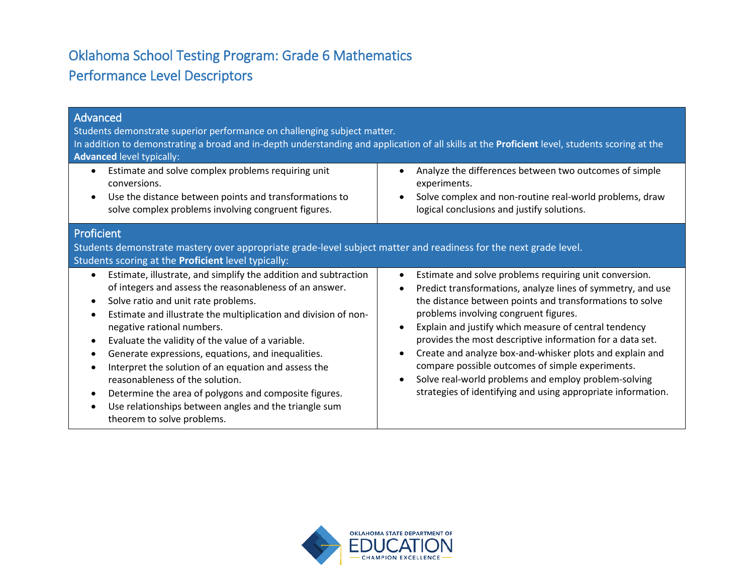# Oklahoma School Testing Program: Grade 6 Mathematics Performance Level Descriptors

| Advanced<br>Students demonstrate superior performance on challenging subject matter.<br>In addition to demonstrating a broad and in-depth understanding and application of all skills at the Proficient level, students scoring at the<br><b>Advanced level typically:</b><br>Estimate and solve complex problems requiring unit<br>$\bullet$<br>conversions.<br>Use the distance between points and transformations to<br>$\bullet$<br>solve complex problems involving congruent figures. | Analyze the differences between two outcomes of simple<br>$\bullet$<br>experiments.<br>Solve complex and non-routine real-world problems, draw<br>$\bullet$<br>logical conclusions and justify solutions.                                                                                                                                                                                         |
|---------------------------------------------------------------------------------------------------------------------------------------------------------------------------------------------------------------------------------------------------------------------------------------------------------------------------------------------------------------------------------------------------------------------------------------------------------------------------------------------|---------------------------------------------------------------------------------------------------------------------------------------------------------------------------------------------------------------------------------------------------------------------------------------------------------------------------------------------------------------------------------------------------|
| Proficient<br>Students demonstrate mastery over appropriate grade-level subject matter and readiness for the next grade level.<br>Students scoring at the Proficient level typically:<br>Estimate, illustrate, and simplify the addition and subtraction<br>of integers and assess the reasonableness of an answer.<br>Solve ratio and unit rate problems.<br>$\bullet$<br>Estimate and illustrate the multiplication and division of non-<br>$\bullet$                                     | Estimate and solve problems requiring unit conversion.<br>$\bullet$<br>Predict transformations, analyze lines of symmetry, and use<br>$\bullet$<br>the distance between points and transformations to solve<br>problems involving congruent figures.                                                                                                                                              |
| negative rational numbers.<br>Evaluate the validity of the value of a variable.<br>$\bullet$<br>Generate expressions, equations, and inequalities.<br>Interpret the solution of an equation and assess the<br>reasonableness of the solution.<br>Determine the area of polygons and composite figures.<br>$\bullet$<br>Use relationships between angles and the triangle sum<br>theorem to solve problems.                                                                                  | Explain and justify which measure of central tendency<br>$\bullet$<br>provides the most descriptive information for a data set.<br>Create and analyze box-and-whisker plots and explain and<br>$\bullet$<br>compare possible outcomes of simple experiments.<br>Solve real-world problems and employ problem-solving<br>$\bullet$<br>strategies of identifying and using appropriate information. |

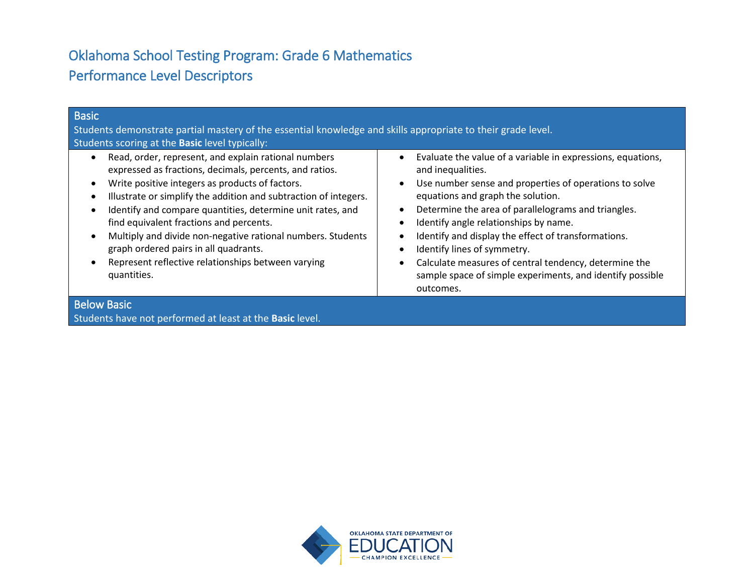# Oklahoma School Testing Program: Grade 6 Mathematics Performance Level Descriptors

| Students demonstrate partial mastery of the essential knowledge and skills appropriate to their grade level.                                                                                                                                                                                                                                                                                                                                                                                                                                                                                                                                                                                                                                                                                                                                                                                                                                                                                                                             |  |
|------------------------------------------------------------------------------------------------------------------------------------------------------------------------------------------------------------------------------------------------------------------------------------------------------------------------------------------------------------------------------------------------------------------------------------------------------------------------------------------------------------------------------------------------------------------------------------------------------------------------------------------------------------------------------------------------------------------------------------------------------------------------------------------------------------------------------------------------------------------------------------------------------------------------------------------------------------------------------------------------------------------------------------------|--|
| Students scoring at the <b>Basic</b> level typically:                                                                                                                                                                                                                                                                                                                                                                                                                                                                                                                                                                                                                                                                                                                                                                                                                                                                                                                                                                                    |  |
| Read, order, represent, and explain rational numbers<br>Evaluate the value of a variable in expressions, equations,<br>expressed as fractions, decimals, percents, and ratios.<br>and inequalities.<br>Write positive integers as products of factors.<br>Use number sense and properties of operations to solve<br>Illustrate or simplify the addition and subtraction of integers.<br>equations and graph the solution.<br>Determine the area of parallelograms and triangles.<br>Identify and compare quantities, determine unit rates, and<br>Identify angle relationships by name.<br>find equivalent fractions and percents.<br>Multiply and divide non-negative rational numbers. Students<br>Identify and display the effect of transformations.<br>graph ordered pairs in all quadrants.<br>Identify lines of symmetry.<br>Represent reflective relationships between varying<br>Calculate measures of central tendency, determine the<br>sample space of simple experiments, and identify possible<br>quantities.<br>outcomes. |  |
| <b>Below Basic</b><br>Students have not performed at least at the Basic level.                                                                                                                                                                                                                                                                                                                                                                                                                                                                                                                                                                                                                                                                                                                                                                                                                                                                                                                                                           |  |

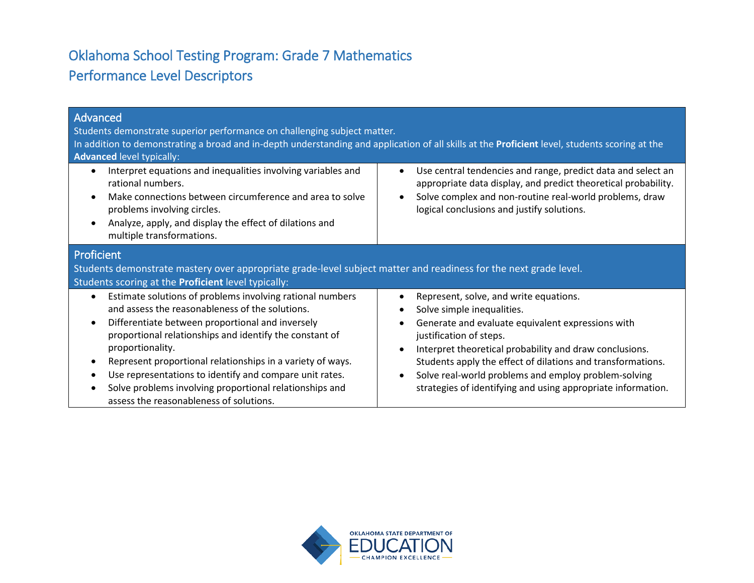# Oklahoma School Testing Program: Grade 7 Mathematics Performance Level Descriptors

| Advanced<br>Students demonstrate superior performance on challenging subject matter.<br>In addition to demonstrating a broad and in-depth understanding and application of all skills at the Proficient level, students scoring at the<br><b>Advanced level typically:</b>                                                                                                                                                                                                     |                                                                                                                                                                                                                                                                                                                                                                                                                                  |  |
|--------------------------------------------------------------------------------------------------------------------------------------------------------------------------------------------------------------------------------------------------------------------------------------------------------------------------------------------------------------------------------------------------------------------------------------------------------------------------------|----------------------------------------------------------------------------------------------------------------------------------------------------------------------------------------------------------------------------------------------------------------------------------------------------------------------------------------------------------------------------------------------------------------------------------|--|
| Interpret equations and inequalities involving variables and<br>rational numbers.<br>Make connections between circumference and area to solve<br>problems involving circles.<br>Analyze, apply, and display the effect of dilations and<br>multiple transformations.                                                                                                                                                                                                           | Use central tendencies and range, predict data and select an<br>$\bullet$<br>appropriate data display, and predict theoretical probability.<br>Solve complex and non-routine real-world problems, draw<br>logical conclusions and justify solutions.                                                                                                                                                                             |  |
| Proficient<br>Students demonstrate mastery over appropriate grade-level subject matter and readiness for the next grade level.<br>Students scoring at the Proficient level typically:                                                                                                                                                                                                                                                                                          |                                                                                                                                                                                                                                                                                                                                                                                                                                  |  |
| Estimate solutions of problems involving rational numbers<br>and assess the reasonableness of the solutions.<br>Differentiate between proportional and inversely<br>proportional relationships and identify the constant of<br>proportionality.<br>Represent proportional relationships in a variety of ways.<br>Use representations to identify and compare unit rates.<br>Solve problems involving proportional relationships and<br>assess the reasonableness of solutions. | Represent, solve, and write equations.<br>$\bullet$<br>Solve simple inequalities.<br>Generate and evaluate equivalent expressions with<br>justification of steps.<br>Interpret theoretical probability and draw conclusions.<br>$\bullet$<br>Students apply the effect of dilations and transformations.<br>Solve real-world problems and employ problem-solving<br>strategies of identifying and using appropriate information. |  |

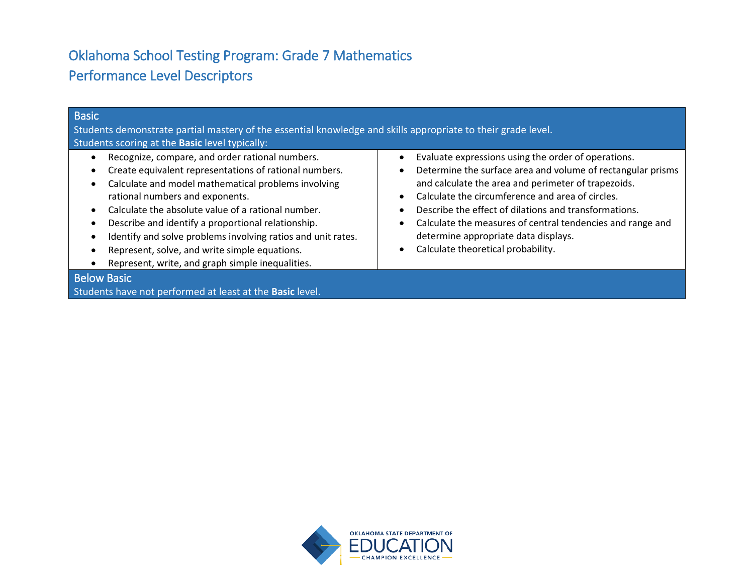# Oklahoma School Testing Program: Grade 7 Mathematics Performance Level Descriptors

| <b>Basic</b><br>Students demonstrate partial mastery of the essential knowledge and skills appropriate to their grade level.<br>Students scoring at the <b>Basic</b> level typically:                                                                                                                                                                                                                                                                                                |                                                                                                                                                                                                                                                                                                                                                                                                                                    |
|--------------------------------------------------------------------------------------------------------------------------------------------------------------------------------------------------------------------------------------------------------------------------------------------------------------------------------------------------------------------------------------------------------------------------------------------------------------------------------------|------------------------------------------------------------------------------------------------------------------------------------------------------------------------------------------------------------------------------------------------------------------------------------------------------------------------------------------------------------------------------------------------------------------------------------|
| Recognize, compare, and order rational numbers.<br>Create equivalent representations of rational numbers.<br>Calculate and model mathematical problems involving<br>rational numbers and exponents.<br>Calculate the absolute value of a rational number.<br>Describe and identify a proportional relationship.<br>Identify and solve problems involving ratios and unit rates.<br>Represent, solve, and write simple equations.<br>Represent, write, and graph simple inequalities. | Evaluate expressions using the order of operations.<br>Determine the surface area and volume of rectangular prisms<br>and calculate the area and perimeter of trapezoids.<br>Calculate the circumference and area of circles.<br>Describe the effect of dilations and transformations.<br>Calculate the measures of central tendencies and range and<br>determine appropriate data displays.<br>Calculate theoretical probability. |
| <b>Below Basic</b><br>Students have not performed at least at the Basic level.                                                                                                                                                                                                                                                                                                                                                                                                       |                                                                                                                                                                                                                                                                                                                                                                                                                                    |

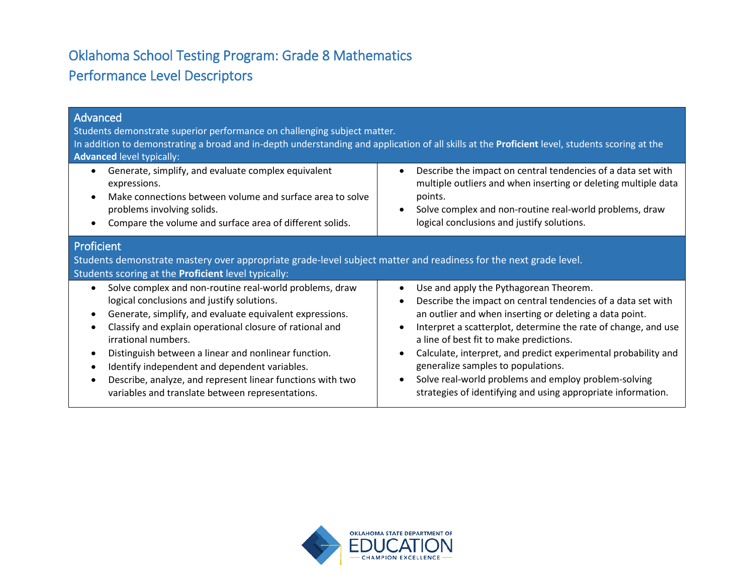# Oklahoma School Testing Program: Grade 8 Mathematics Performance Level Descriptors

| Advanced<br>Students demonstrate superior performance on challenging subject matter.<br>In addition to demonstrating a broad and in-depth understanding and application of all skills at the <b>Proficient</b> level, students scoring at the<br><b>Advanced level typically:</b>                                                                                                                                                                                                            |                                                                                                                                                                                                                                                                                                                                                                                                                                                                                                                                                                    |  |
|----------------------------------------------------------------------------------------------------------------------------------------------------------------------------------------------------------------------------------------------------------------------------------------------------------------------------------------------------------------------------------------------------------------------------------------------------------------------------------------------|--------------------------------------------------------------------------------------------------------------------------------------------------------------------------------------------------------------------------------------------------------------------------------------------------------------------------------------------------------------------------------------------------------------------------------------------------------------------------------------------------------------------------------------------------------------------|--|
| Generate, simplify, and evaluate complex equivalent<br>expressions.<br>Make connections between volume and surface area to solve<br>problems involving solids.<br>Compare the volume and surface area of different solids.                                                                                                                                                                                                                                                                   | Describe the impact on central tendencies of a data set with<br>$\bullet$<br>multiple outliers and when inserting or deleting multiple data<br>points.<br>Solve complex and non-routine real-world problems, draw<br>$\bullet$<br>logical conclusions and justify solutions.                                                                                                                                                                                                                                                                                       |  |
| Proficient<br>Students demonstrate mastery over appropriate grade-level subject matter and readiness for the next grade level.<br>Students scoring at the Proficient level typically:                                                                                                                                                                                                                                                                                                        |                                                                                                                                                                                                                                                                                                                                                                                                                                                                                                                                                                    |  |
| Solve complex and non-routine real-world problems, draw<br>$\bullet$<br>logical conclusions and justify solutions.<br>Generate, simplify, and evaluate equivalent expressions.<br>Classify and explain operational closure of rational and<br>irrational numbers.<br>Distinguish between a linear and nonlinear function.<br>Identify independent and dependent variables.<br>Describe, analyze, and represent linear functions with two<br>variables and translate between representations. | Use and apply the Pythagorean Theorem.<br>$\bullet$<br>Describe the impact on central tendencies of a data set with<br>$\bullet$<br>an outlier and when inserting or deleting a data point.<br>Interpret a scatterplot, determine the rate of change, and use<br>$\bullet$<br>a line of best fit to make predictions.<br>Calculate, interpret, and predict experimental probability and<br>$\bullet$<br>generalize samples to populations.<br>Solve real-world problems and employ problem-solving<br>strategies of identifying and using appropriate information. |  |

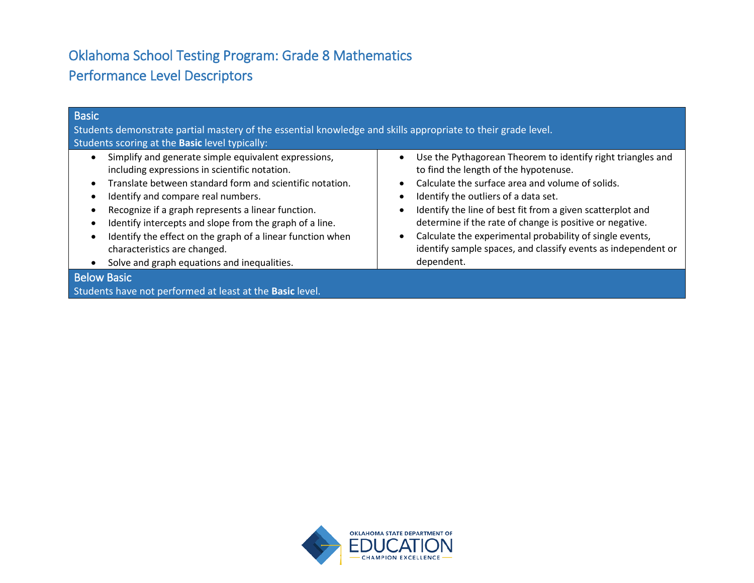# Oklahoma School Testing Program: Grade 8 Mathematics Performance Level Descriptors

| Basic                                                                                                                                                                                                                                                                                                                                                                                                                                                                 |                                                                                                                                                                                                                                                                                                                                                                                                                                                                                                                           |
|-----------------------------------------------------------------------------------------------------------------------------------------------------------------------------------------------------------------------------------------------------------------------------------------------------------------------------------------------------------------------------------------------------------------------------------------------------------------------|---------------------------------------------------------------------------------------------------------------------------------------------------------------------------------------------------------------------------------------------------------------------------------------------------------------------------------------------------------------------------------------------------------------------------------------------------------------------------------------------------------------------------|
| Students demonstrate partial mastery of the essential knowledge and skills appropriate to their grade level.                                                                                                                                                                                                                                                                                                                                                          |                                                                                                                                                                                                                                                                                                                                                                                                                                                                                                                           |
| Students scoring at the <b>Basic</b> level typically:                                                                                                                                                                                                                                                                                                                                                                                                                 |                                                                                                                                                                                                                                                                                                                                                                                                                                                                                                                           |
| Simplify and generate simple equivalent expressions,<br>including expressions in scientific notation.<br>Translate between standard form and scientific notation.<br>Identify and compare real numbers.<br>Recognize if a graph represents a linear function.<br>Identify intercepts and slope from the graph of a line.<br>Identify the effect on the graph of a linear function when<br>characteristics are changed.<br>Solve and graph equations and inequalities. | Use the Pythagorean Theorem to identify right triangles and<br>$\bullet$<br>to find the length of the hypotenuse.<br>Calculate the surface area and volume of solids.<br>Identify the outliers of a data set.<br>$\bullet$<br>Identify the line of best fit from a given scatterplot and<br>$\bullet$<br>determine if the rate of change is positive or negative.<br>Calculate the experimental probability of single events,<br>$\bullet$<br>identify sample spaces, and classify events as independent or<br>dependent. |
| <b>Below Basic</b>                                                                                                                                                                                                                                                                                                                                                                                                                                                    |                                                                                                                                                                                                                                                                                                                                                                                                                                                                                                                           |
| Students have not performed at least at the Basic level.                                                                                                                                                                                                                                                                                                                                                                                                              |                                                                                                                                                                                                                                                                                                                                                                                                                                                                                                                           |

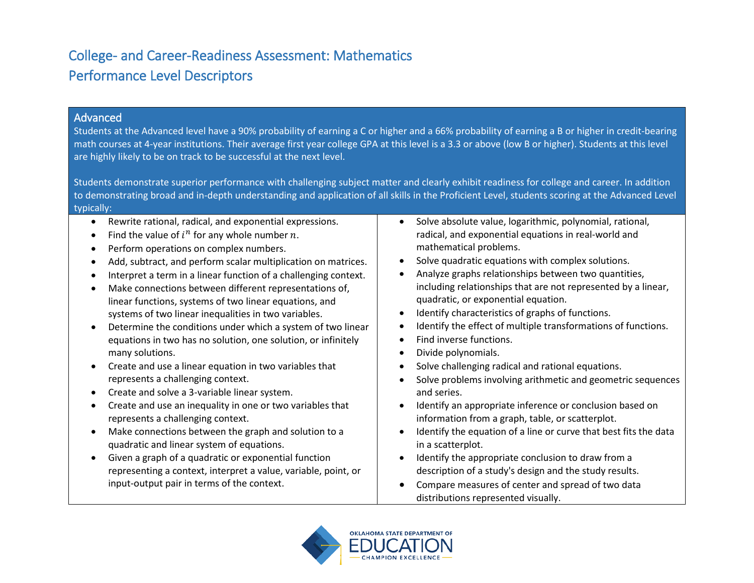#### Advanced

Students at the Advanced level have a 90% probability of earning a C or higher and a 66% probability of earning a B or higher in credit-bearing math courses at 4-year institutions. Their average first year college GPA at this level is a 3.3 or above (low B or higher). Students at this level are highly likely to be on track to be successful at the next level.

Students demonstrate superior performance with challenging subject matter and clearly exhibit readiness for college and career. In addition to demonstrating broad and in-depth understanding and application of all skills in the Proficient Level, students scoring at the Advanced Level typically:

- Rewrite rational, radical, and exponential expressions.
- Find the value of  $i^n$  for any whole number n.
- Perform operations on complex numbers.
- Add, subtract, and perform scalar multiplication on matrices.
- Interpret a term in a linear function of a challenging context.
- Make connections between different representations of, linear functions, systems of two linear equations, and systems of two linear inequalities in two variables.
- Determine the conditions under which a system of two linear equations in two has no solution, one solution, or infinitely many solutions.
- Create and use a linear equation in two variables that represents a challenging context.
- Create and solve a 3-variable linear system.
- Create and use an inequality in one or two variables that represents a challenging context.
- Make connections between the graph and solution to a quadratic and linear system of equations.
- Given a graph of a quadratic or exponential function representing a context, interpret a value, variable, point, or input-output pair in terms of the context.
- Solve absolute value, logarithmic, polynomial, rational, radical, and exponential equations in real-world and mathematical problems.
- Solve quadratic equations with complex solutions.
- Analyze graphs relationships between two quantities, including relationships that are not represented by a linear, quadratic, or exponential equation.
- Identify characteristics of graphs of functions.
- Identify the effect of multiple transformations of functions.
- Find inverse functions.
- Divide polynomials.
- Solve challenging radical and rational equations.
- Solve problems involving arithmetic and geometric sequences and series.
- Identify an appropriate inference or conclusion based on information from a graph, table, or scatterplot.
- Identify the equation of a line or curve that best fits the data in a scatterplot.
- Identify the appropriate conclusion to draw from a description of a study's design and the study results.
- Compare measures of center and spread of two data distributions represented visually.

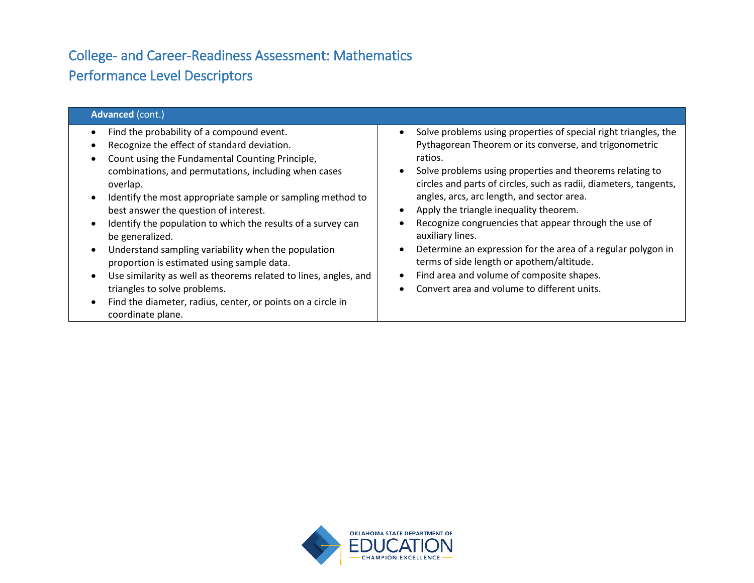| <b>Advanced (cont.)</b>                                                                                                                                                                                                                                                                                                                                                                                                                                                                                                                                                                                                                                                                                                          |                                                                                                                                                                                                                                                                                                                                                                                                                                                                                                                                                                                                                                                     |  |
|----------------------------------------------------------------------------------------------------------------------------------------------------------------------------------------------------------------------------------------------------------------------------------------------------------------------------------------------------------------------------------------------------------------------------------------------------------------------------------------------------------------------------------------------------------------------------------------------------------------------------------------------------------------------------------------------------------------------------------|-----------------------------------------------------------------------------------------------------------------------------------------------------------------------------------------------------------------------------------------------------------------------------------------------------------------------------------------------------------------------------------------------------------------------------------------------------------------------------------------------------------------------------------------------------------------------------------------------------------------------------------------------------|--|
| Find the probability of a compound event.<br>Recognize the effect of standard deviation.<br>Count using the Fundamental Counting Principle,<br>combinations, and permutations, including when cases<br>overlap.<br>Identify the most appropriate sample or sampling method to<br>best answer the question of interest.<br>Identify the population to which the results of a survey can<br>be generalized.<br>Understand sampling variability when the population<br>$\bullet$<br>proportion is estimated using sample data.<br>Use similarity as well as theorems related to lines, angles, and<br>$\bullet$<br>triangles to solve problems.<br>Find the diameter, radius, center, or points on a circle in<br>coordinate plane. | Solve problems using properties of special right triangles, the<br>Pythagorean Theorem or its converse, and trigonometric<br>ratios.<br>Solve problems using properties and theorems relating to<br>circles and parts of circles, such as radii, diameters, tangents,<br>angles, arcs, arc length, and sector area.<br>Apply the triangle inequality theorem.<br>Recognize congruencies that appear through the use of<br>auxiliary lines.<br>Determine an expression for the area of a regular polygon in<br>terms of side length or apothem/altitude.<br>Find area and volume of composite shapes.<br>Convert area and volume to different units. |  |

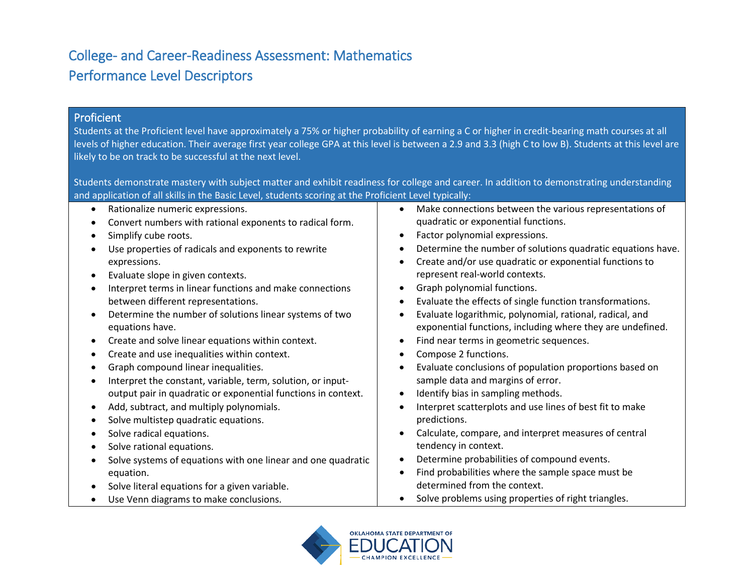#### Proficient

Students at the Proficient level have approximately a 75% or higher probability of earning a C or higher in credit-bearing math courses at all levels of higher education. Their average first year college GPA at this level is between a 2.9 and 3.3 (high C to low B). Students at this level are likely to be on track to be successful at the next level.

Students demonstrate mastery with subject matter and exhibit readiness for college and career. In addition to demonstrating understanding and application of all skills in the Basic Level, students scoring at the Proficient Level typically:

| $\bullet$ | Rationalize numeric expressions.                              | Make connections between the various representations of     |
|-----------|---------------------------------------------------------------|-------------------------------------------------------------|
| $\bullet$ | Convert numbers with rational exponents to radical form.      | quadratic or exponential functions.                         |
| $\bullet$ | Simplify cube roots.                                          | Factor polynomial expressions.<br>$\bullet$                 |
|           | Use properties of radicals and exponents to rewrite           | Determine the number of solutions quadratic equations have. |
|           | expressions.                                                  | Create and/or use quadratic or exponential functions to     |
| $\bullet$ | Evaluate slope in given contexts.                             | represent real-world contexts.                              |
| $\bullet$ | Interpret terms in linear functions and make connections      | Graph polynomial functions.                                 |
|           | between different representations.                            | Evaluate the effects of single function transformations.    |
| $\bullet$ | Determine the number of solutions linear systems of two       | Evaluate logarithmic, polynomial, rational, radical, and    |
|           | equations have.                                               | exponential functions, including where they are undefined.  |
| $\bullet$ | Create and solve linear equations within context.             | Find near terms in geometric sequences.                     |
| ٠         | Create and use inequalities within context.                   | Compose 2 functions.                                        |
| $\bullet$ | Graph compound linear inequalities.                           | Evaluate conclusions of population proportions based on     |
| $\bullet$ | Interpret the constant, variable, term, solution, or input-   | sample data and margins of error.                           |
|           | output pair in quadratic or exponential functions in context. | Identify bias in sampling methods.                          |
| ٠         | Add, subtract, and multiply polynomials.                      | Interpret scatterplots and use lines of best fit to make    |
|           | Solve multistep quadratic equations.                          | predictions.                                                |
| $\bullet$ | Solve radical equations.                                      | Calculate, compare, and interpret measures of central       |
| $\bullet$ | Solve rational equations.                                     | tendency in context.                                        |
|           | Solve systems of equations with one linear and one quadratic  | Determine probabilities of compound events.                 |
|           | equation.                                                     | Find probabilities where the sample space must be           |
| $\bullet$ | Solve literal equations for a given variable.                 | determined from the context.                                |
|           | Use Venn diagrams to make conclusions.                        | Solve problems using properties of right triangles.         |

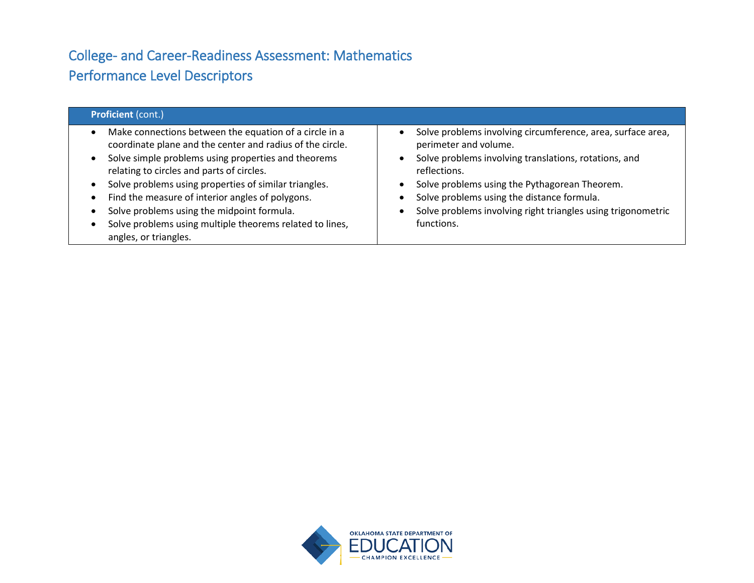| <b>Proficient (cont.)</b>                                                                                                                                                                                                                                                                                                                                                                                                                                               |                                                                                                                                                                                                                                                                                                                                            |  |
|-------------------------------------------------------------------------------------------------------------------------------------------------------------------------------------------------------------------------------------------------------------------------------------------------------------------------------------------------------------------------------------------------------------------------------------------------------------------------|--------------------------------------------------------------------------------------------------------------------------------------------------------------------------------------------------------------------------------------------------------------------------------------------------------------------------------------------|--|
| Make connections between the equation of a circle in a<br>coordinate plane and the center and radius of the circle.<br>Solve simple problems using properties and theorems<br>relating to circles and parts of circles.<br>Solve problems using properties of similar triangles.<br>Find the measure of interior angles of polygons.<br>Solve problems using the midpoint formula.<br>Solve problems using multiple theorems related to lines,<br>angles, or triangles. | Solve problems involving circumference, area, surface area,<br>perimeter and volume.<br>Solve problems involving translations, rotations, and<br>reflections.<br>Solve problems using the Pythagorean Theorem.<br>Solve problems using the distance formula.<br>Solve problems involving right triangles using trigonometric<br>functions. |  |